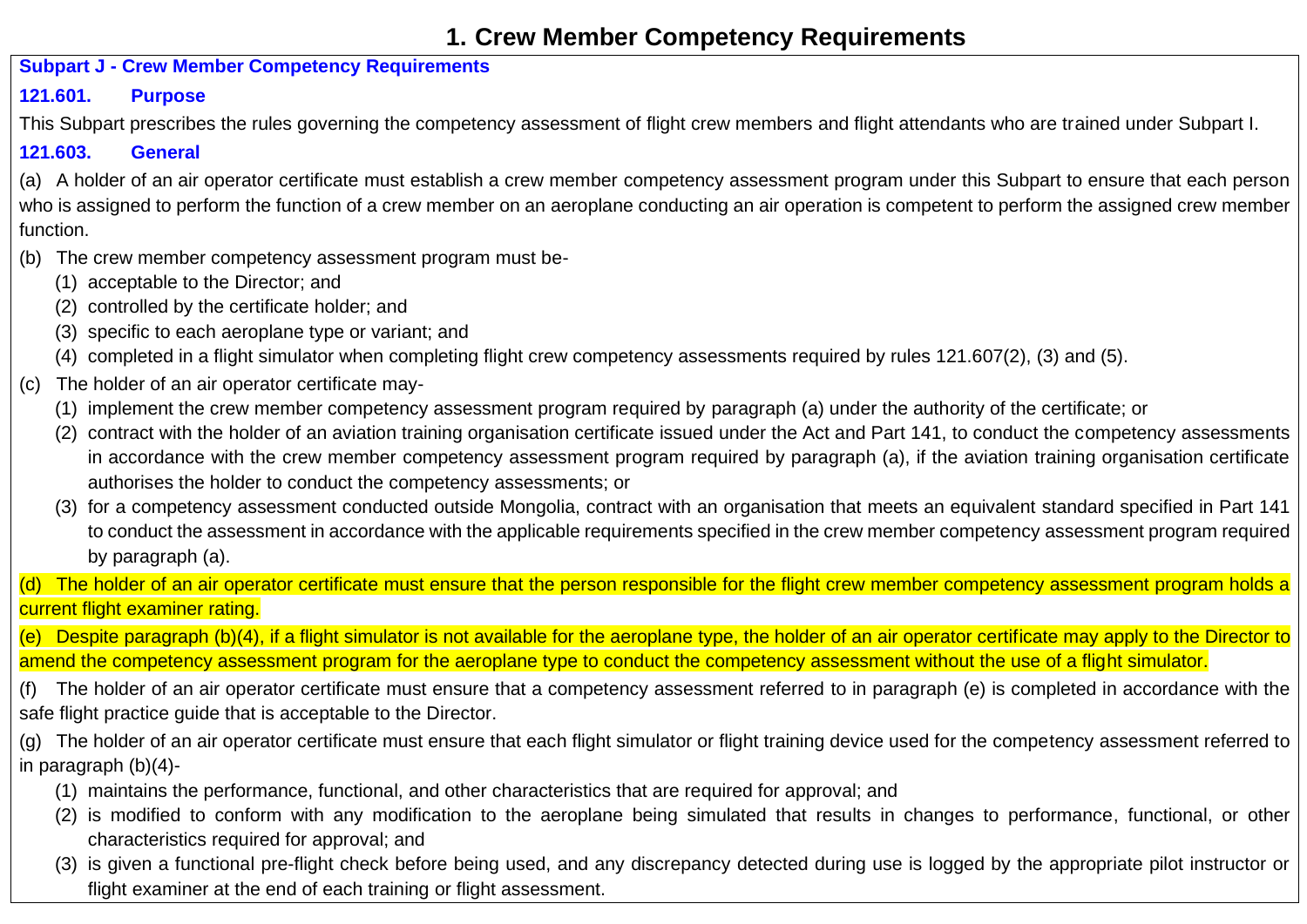# **1. Crew Member Competency Requirements**

#### **Subpart J - Crew Member Competency Requirements**

# **121.601. Purpose**

This Subpart prescribes the rules governing the competency assessment of flight crew members and flight attendants who are trained under Subpart I.

# **121.603. General**

(a) A holder of an air operator certificate must establish a crew member competency assessment program under this Subpart to ensure that each person who is assigned to perform the function of a crew member on an aeroplane conducting an air operation is competent to perform the assigned crew member function.

- (b) The crew member competency assessment program must be-
	- (1) acceptable to the Director; and
	- (2) controlled by the certificate holder; and
	- (3) specific to each aeroplane type or variant; and
	- (4) completed in a flight simulator when completing flight crew competency assessments required by rules 121.607(2), (3) and (5).
- (c) The holder of an air operator certificate may-
	- (1) implement the crew member competency assessment program required by paragraph (a) under the authority of the certificate; or
	- (2) contract with the holder of an aviation training organisation certificate issued under the Act and Part 141, to conduct the competency assessments in accordance with the crew member competency assessment program required by paragraph (a), if the aviation training organisation certificate authorises the holder to conduct the competency assessments; or
	- (3) for a competency assessment conducted outside Mongolia, contract with an organisation that meets an equivalent standard specified in Part 141 to conduct the assessment in accordance with the applicable requirements specified in the crew member competency assessment program required by paragraph (a).

(d) The holder of an air operator certificate must ensure that the person responsible for the flight crew member competency assessment program holds a current flight examiner rating.

(e) Despite paragraph (b)(4), if a flight simulator is not available for the aeroplane type, the holder of an air operator certificate may apply to the Director to amend the competency assessment program for the aeroplane type to conduct the competency assessment without the use of a flight simulator.

- (f) The holder of an air operator certificate must ensure that a competency assessment referred to in paragraph (e) is completed in accordance with the safe flight practice guide that is acceptable to the Director.
- (g) The holder of an air operator certificate must ensure that each flight simulator or flight training device used for the competency assessment referred to in paragraph (b)(4)-
	- (1) maintains the performance, functional, and other characteristics that are required for approval; and
	- (2) is modified to conform with any modification to the aeroplane being simulated that results in changes to performance, functional, or other characteristics required for approval; and
	- (3) is given a functional pre-flight check before being used, and any discrepancy detected during use is logged by the appropriate pilot instructor or flight examiner at the end of each training or flight assessment.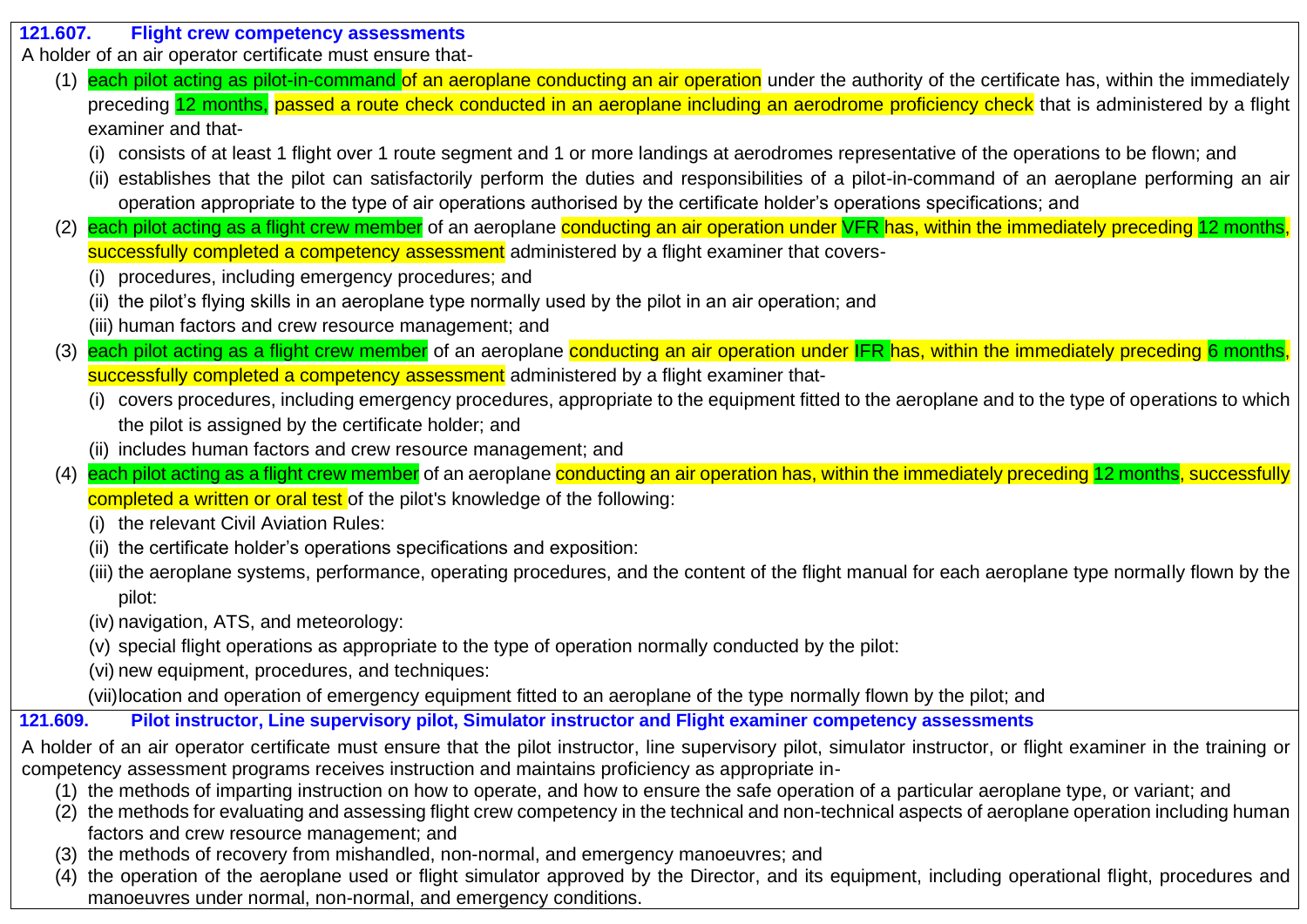#### **121.607. Flight crew competency assessments**

A holder of an air operator certificate must ensure that-

- (1) each pilot acting as pilot-in-command of an aeroplane conducting an air operation under the authority of the certificate has, within the immediately preceding 12 months, passed a route check conducted in an aeroplane including an aerodrome proficiency check that is administered by a flight examiner and that-
	- (i) consists of at least 1 flight over 1 route segment and 1 or more landings at aerodromes representative of the operations to be flown; and
	- (ii) establishes that the pilot can satisfactorily perform the duties and responsibilities of a pilot-in-command of an aeroplane performing an air operation appropriate to the type of air operations authorised by the certificate holder's operations specifications; and
- each pilot acting as a flight crew member of an aeroplane conducting an air operation under VFR has, within the immediately preceding 12 months, successfully completed a competency assessment administered by a flight examiner that covers-
	- (i) procedures, including emergency procedures; and
	- (ii) the pilot's flying skills in an aeroplane type normally used by the pilot in an air operation; and
	- (iii) human factors and crew resource management; and
- (3) each pilot acting as a flight crew member of an aeroplane conducting an air operation under IFR has, within the immediately preceding 6 months, successfully completed a competency assessment administered by a flight examiner that-
	- (i) covers procedures, including emergency procedures, appropriate to the equipment fitted to the aeroplane and to the type of operations to which the pilot is assigned by the certificate holder; and
	- (ii) includes human factors and crew resource management; and
- (4) each pilot acting as a flight crew member of an aeroplane conducting an air operation has, within the immediately preceding 12 months, successfully completed a written or oral test of the pilot's knowledge of the following:
	- (i) the relevant Civil Aviation Rules:
	- (ii) the certificate holder's operations specifications and exposition:
	- (iii) the aeroplane systems, performance, operating procedures, and the content of the flight manual for each aeroplane type normally flown by the pilot:
	- (iv) navigation, ATS, and meteorology:
	- (v) special flight operations as appropriate to the type of operation normally conducted by the pilot:
	- (vi) new equipment, procedures, and techniques:
	- (vii)location and operation of emergency equipment fitted to an aeroplane of the type normally flown by the pilot; and

# **121.609. Pilot instructor, Line supervisory pilot, Simulator instructor and Flight examiner competency assessments**

- A holder of an air operator certificate must ensure that the pilot instructor, line supervisory pilot, simulator instructor, or flight examiner in the training or competency assessment programs receives instruction and maintains proficiency as appropriate in-
	- (1) the methods of imparting instruction on how to operate, and how to ensure the safe operation of a particular aeroplane type, or variant; and
	- (2) the methods for evaluating and assessing flight crew competency in the technical and non-technical aspects of aeroplane operation including human factors and crew resource management; and
	- (3) the methods of recovery from mishandled, non-normal, and emergency manoeuvres; and
	- (4) the operation of the aeroplane used or flight simulator approved by the Director, and its equipment, including operational flight, procedures and manoeuvres under normal, non-normal, and emergency conditions.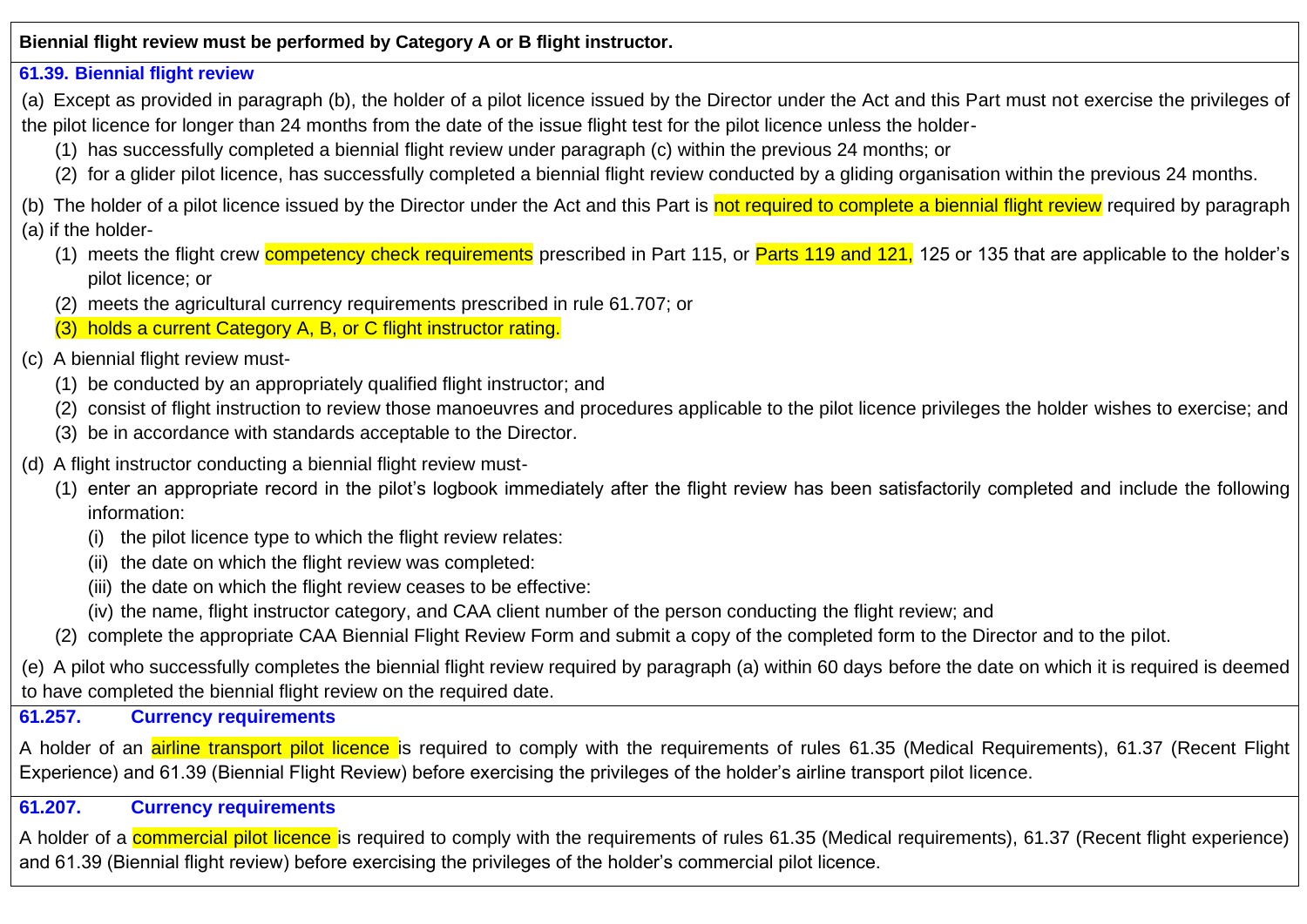**Biennial flight review must be performed by Category A or B flight instructor.**

#### **61.39. Biennial flight review**

(a) Except as provided in paragraph (b), the holder of a pilot licence issued by the Director under the Act and this Part must not exercise the privileges of the pilot licence for longer than 24 months from the date of the issue flight test for the pilot licence unless the holder-

(1) has successfully completed a biennial flight review under paragraph (c) within the previous 24 months; or

(2) for a glider pilot licence, has successfully completed a biennial flight review conducted by a gliding organisation within the previous 24 months.

(b) The holder of a pilot licence issued by the Director under the Act and this Part is not required to complete a biennial flight review required by paragraph (a) if the holder-

- (1) meets the flight crew competency check requirements prescribed in Part 115, or Parts 119 and 121, 125 or 135 that are applicable to the holder's pilot licence; or
- (2) meets the agricultural currency requirements prescribed in rule 61.707; or
- (3) holds a current Category A, B, or C flight instructor rating.

#### (c) A biennial flight review must-

- (1) be conducted by an appropriately qualified flight instructor; and
- (2) consist of flight instruction to review those manoeuvres and procedures applicable to the pilot licence privileges the holder wishes to exercise; and
- (3) be in accordance with standards acceptable to the Director.
- (d) A flight instructor conducting a biennial flight review must-
	- (1) enter an appropriate record in the pilot's logbook immediately after the flight review has been satisfactorily completed and include the following information:
		- (i) the pilot licence type to which the flight review relates:
		- (ii) the date on which the flight review was completed:
		- (iii) the date on which the flight review ceases to be effective:
		- (iv) the name, flight instructor category, and CAA client number of the person conducting the flight review; and
	- (2) complete the appropriate CAA Biennial Flight Review Form and submit a copy of the completed form to the Director and to the pilot.

(e) A pilot who successfully completes the biennial flight review required by paragraph (a) within 60 days before the date on which it is required is deemed to have completed the biennial flight review on the required date.

#### **61.257. Currency requirements**

A holder of an *airline transport pilot licence* is required to comply with the requirements of rules 61.35 (Medical Requirements), 61.37 (Recent Flight Experience) and 61.39 (Biennial Flight Review) before exercising the privileges of the holder's airline transport pilot licence.

### **61.207. Currency requirements**

A holder of a **commercial pilot licence** is required to comply with the requirements of rules 61.35 (Medical requirements), 61.37 (Recent flight experience) and 61.39 (Biennial flight review) before exercising the privileges of the holder's commercial pilot licence.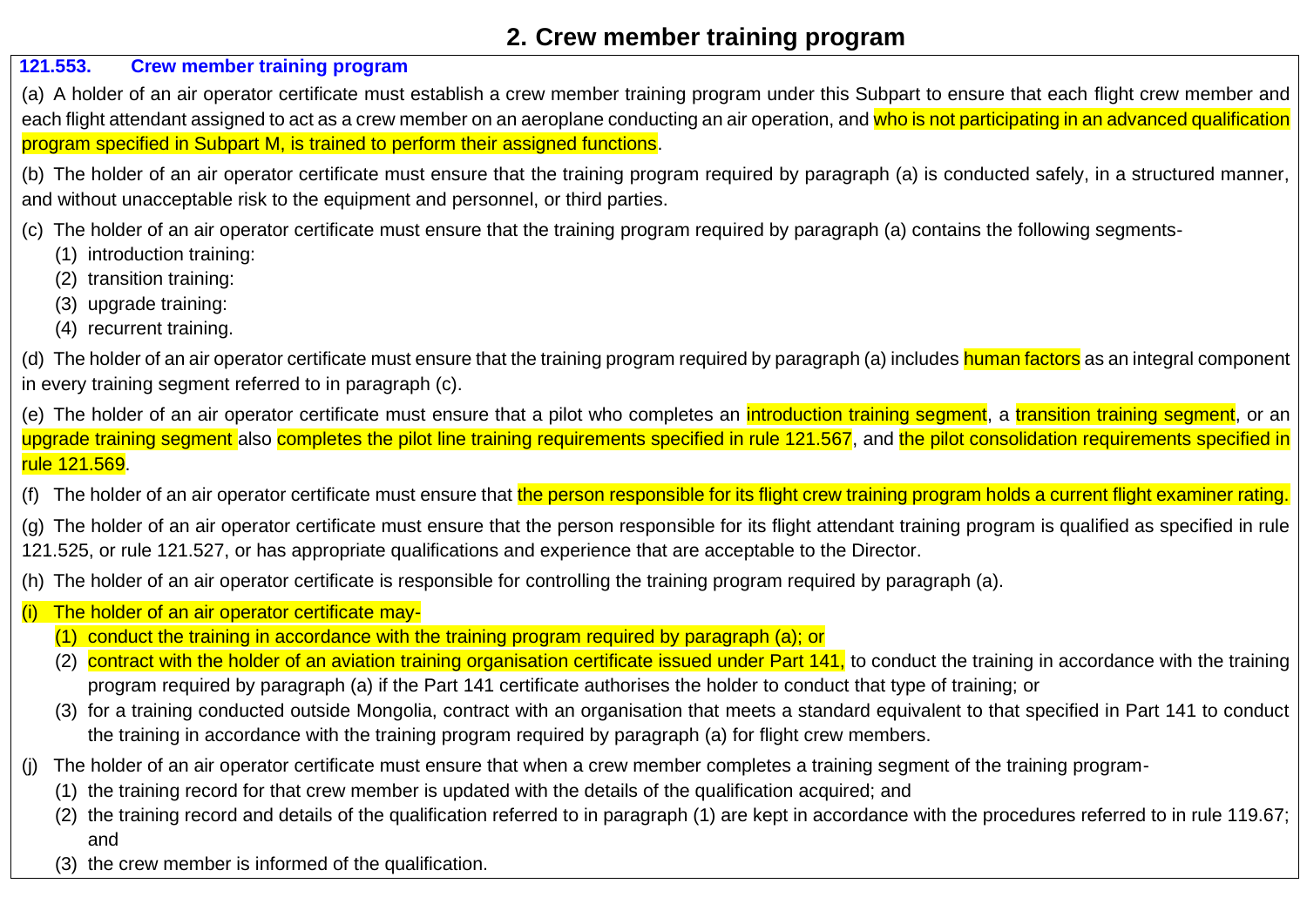# **2. Crew member training program**

### **121.553. Crew member training program**

(a) A holder of an air operator certificate must establish a crew member training program under this Subpart to ensure that each flight crew member and each flight attendant assigned to act as a crew member on an aeroplane conducting an air operation, and who is not participating in an advanced qualification program specified in Subpart M, is trained to perform their assigned functions.

(b) The holder of an air operator certificate must ensure that the training program required by paragraph (a) is conducted safely, in a structured manner, and without unacceptable risk to the equipment and personnel, or third parties.

(c) The holder of an air operator certificate must ensure that the training program required by paragraph (a) contains the following segments-

- (1) introduction training:
- (2) transition training:
- (3) upgrade training:
- (4) recurrent training.

(d) The holder of an air operator certificate must ensure that the training program required by paragraph (a) includes human factors as an integral component in every training segment referred to in paragraph (c).

(e) The holder of an air operator certificate must ensure that a pilot who completes an *introduction training segment*, a *transition training segment*, or an upgrade training segment also completes the pilot line training requirements specified in rule 121.567, and the pilot consolidation requirements specified in rule 121.569.

The holder of an air operator certificate must ensure that the person responsible for its flight crew training program holds a current flight examiner rating.

The holder of an air operator certificate must ensure that the person responsible for its flight attendant training program is qualified as specified in rule 121.525, or rule 121.527, or has appropriate qualifications and experience that are acceptable to the Director.

(h) The holder of an air operator certificate is responsible for controlling the training program required by paragraph (a).

- The holder of an air operator certificate may-
	- (1) conduct the training in accordance with the training program required by paragraph (a); or
	- (2) contract with the holder of an aviation training organisation certificate issued under Part 141, to conduct the training in accordance with the training program required by paragraph (a) if the Part 141 certificate authorises the holder to conduct that type of training; or
	- (3) for a training conducted outside Mongolia, contract with an organisation that meets a standard equivalent to that specified in Part 141 to conduct the training in accordance with the training program required by paragraph (a) for flight crew members.
- The holder of an air operator certificate must ensure that when a crew member completes a training segment of the training program-
	- (1) the training record for that crew member is updated with the details of the qualification acquired; and
	- (2) the training record and details of the qualification referred to in paragraph (1) are kept in accordance with the procedures referred to in rule 119.67; and
	- (3) the crew member is informed of the qualification.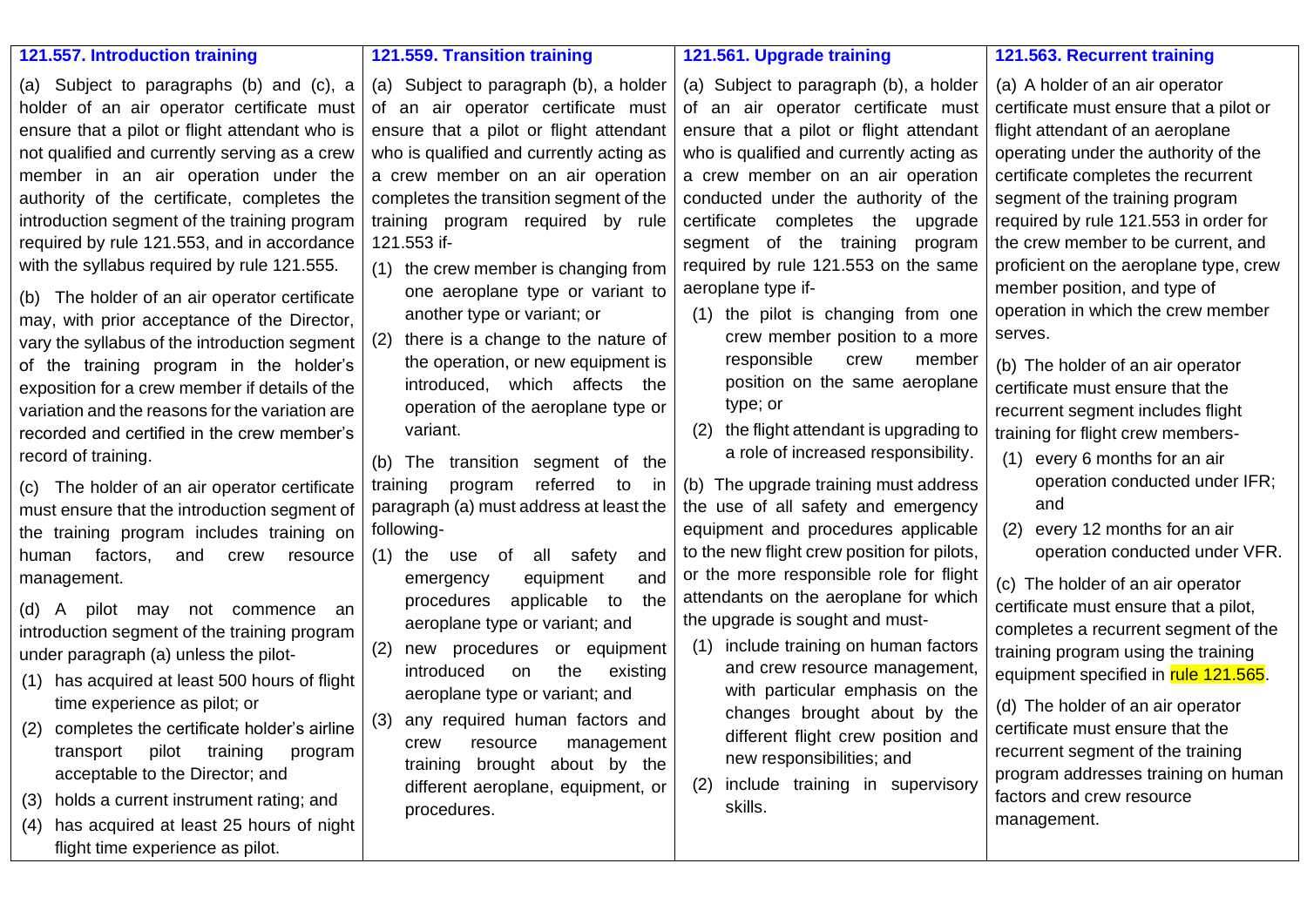#### **121.557. Introduction training**

(a) Subject to paragraphs (b) and (c), a holder of an air operator certificate must ensure that a pilot or flight attendant who is not qualified and currently serving as a crew member in an air operation under the authority of the certificate, completes the introduction segment of the training program required by rule 121.553, and in accordance with the syllabus required by rule 121.555.

(b) The holder of an air operator certificate may, with prior acceptance of the Director, vary the syllabus of the introduction segment of the training program in the holder's exposition for a crew member if details of the variation and the reasons for the variation are recorded and certified in the crew member's record of training.

(c) The holder of an air operator certificate must ensure that the introduction segment of the training program includes training on human factors, and crew resource management.

(d) A pilot may not commence an introduction segment of the training program under paragraph (a) unless the pilot-

- (1) has acquired at least 500 hours of flight time experience as pilot; or
- (2) completes the certificate holder's airline transport pilot training program acceptable to the Director; and
- (3) holds a current instrument rating; and
- (4) has acquired at least 25 hours of night flight time experience as pilot.

**121.559. Transition training** 

another type or variant; or (2) there is a change to the nature of the operation, or new equipment is introduced, which affects the operation of the aeroplane type or

(b) The transition segment of the training program referred to in paragraph (a) must address at least the

(1) the use of all safety and emergency equipment and procedures applicable to the aeroplane type or variant; and (2) new procedures or equipment introduced on the existing aeroplane type or variant; and (3) any required human factors and crew resource management training brought about by the different aeroplane, equipment, or

121.553 if-

variant.

procedures.

following-

#### **121.561. Upgrade training**

(a) Subject to paragraph (b), a holder of an air operator certificate must ensure that a pilot or flight attendant who is qualified and currently acting as a crew member on an air operation completes the transition segment of the training program required by rule (1) the crew member is changing from one aeroplane type or variant to (a) Subject to paragraph (b), a holder of an air operator certificate must ensure that a pilot or flight attendant who is qualified and currently acting as a crew member on an air operation conducted under the authority of the certificate completes the upgrade segment of the training program required by rule 121.553 on the same aeroplane type if-

- (1) the pilot is changing from one crew member position to a more responsible crew member position on the same aeroplane type; or
- (2) the flight attendant is upgrading to a role of increased responsibility.

(b) The upgrade training must address the use of all safety and emergency equipment and procedures applicable to the new flight crew position for pilots, or the more responsible role for flight attendants on the aeroplane for which the upgrade is sought and must-

- (1) include training on human factors and crew resource management, with particular emphasis on the changes brought about by the different flight crew position and new responsibilities; and
- (2) include training in supervisory skills.

#### **121.563. Recurrent training**

(a) A holder of an air operator certificate must ensure that a pilot or flight attendant of an aeroplane operating under the authority of the certificate completes the recurrent segment of the training program required by rule 121.553 in order for the crew member to be current, and proficient on the aeroplane type, crew member position, and type of operation in which the crew member serves.

(b) The holder of an air operator certificate must ensure that the recurrent segment includes flight training for flight crew members-

- (1) every 6 months for an air operation conducted under IFR; and
- (2) every 12 months for an air operation conducted under VFR.

(c) The holder of an air operator certificate must ensure that a pilot, completes a recurrent segment of the training program using the training equipment specified in rule 121.565.

(d) The holder of an air operator certificate must ensure that the recurrent segment of the training program addresses training on human factors and crew resource management.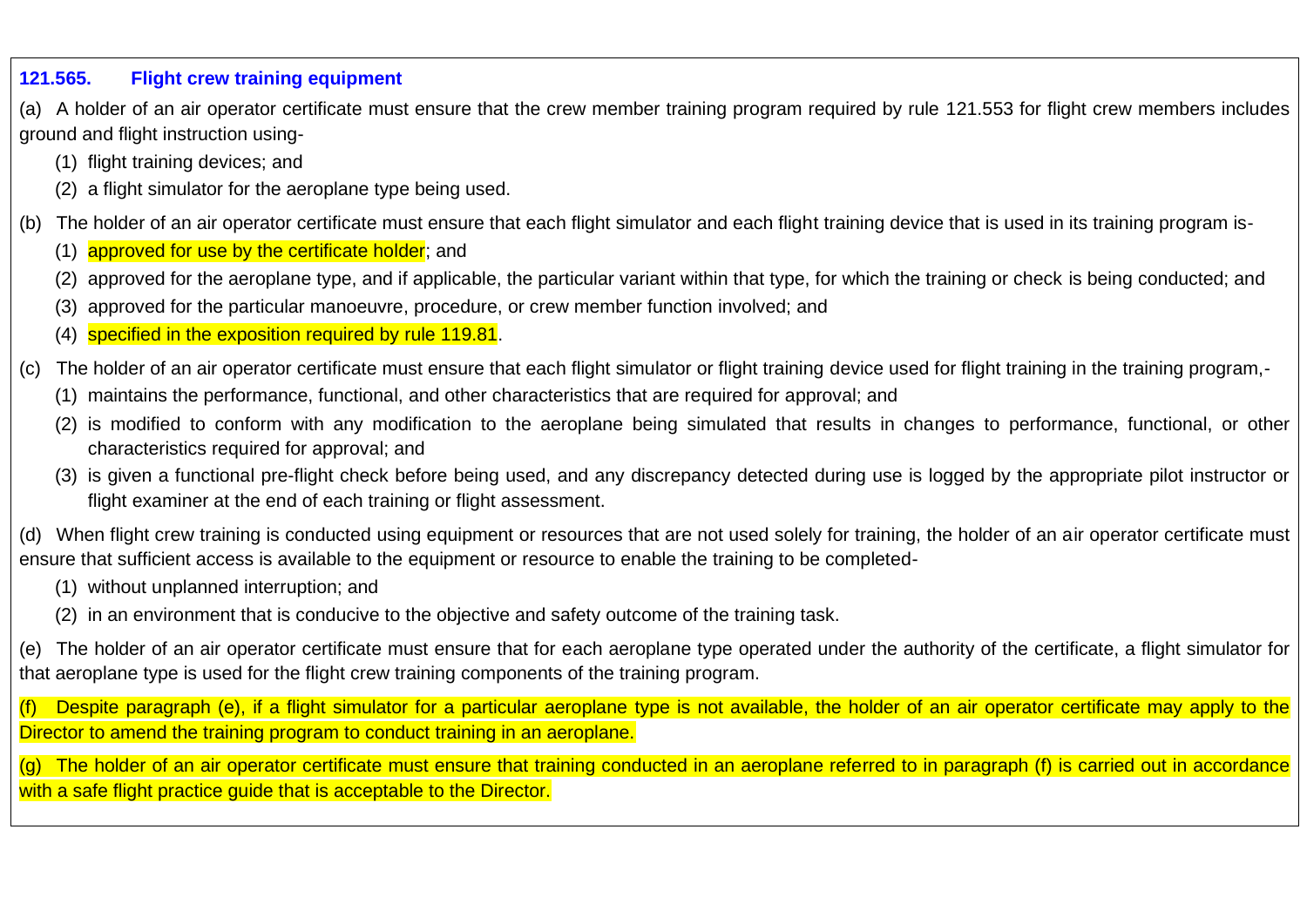#### **121.565. Flight crew training equipment**

(a) A holder of an air operator certificate must ensure that the crew member training program required by rule 121.553 for flight crew members includes ground and flight instruction using-

- (1) flight training devices; and
- (2) a flight simulator for the aeroplane type being used.
- (b) The holder of an air operator certificate must ensure that each flight simulator and each flight training device that is used in its training program is-
	- (1) approved for use by the certificate holder; and
	- (2) approved for the aeroplane type, and if applicable, the particular variant within that type, for which the training or check is being conducted; and
	- approved for the particular manoeuvre, procedure, or crew member function involved; and
	- (4) specified in the exposition required by rule 119.81.
- (c) The holder of an air operator certificate must ensure that each flight simulator or flight training device used for flight training in the training program,-
	- (1) maintains the performance, functional, and other characteristics that are required for approval; and
	- (2) is modified to conform with any modification to the aeroplane being simulated that results in changes to performance, functional, or other characteristics required for approval; and
	- (3) is given a functional pre-flight check before being used, and any discrepancy detected during use is logged by the appropriate pilot instructor or flight examiner at the end of each training or flight assessment.

(d) When flight crew training is conducted using equipment or resources that are not used solely for training, the holder of an air operator certificate must ensure that sufficient access is available to the equipment or resource to enable the training to be completed-

- (1) without unplanned interruption; and
- (2) in an environment that is conducive to the objective and safety outcome of the training task.

(e) The holder of an air operator certificate must ensure that for each aeroplane type operated under the authority of the certificate, a flight simulator for that aeroplane type is used for the flight crew training components of the training program.

(f) Despite paragraph (e), if a flight simulator for a particular aeroplane type is not available, the holder of an air operator certificate may apply to the Director to amend the training program to conduct training in an aeroplane.

(g) The holder of an air operator certificate must ensure that training conducted in an aeroplane referred to in paragraph (f) is carried out in accordance with a safe flight practice quide that is acceptable to the Director.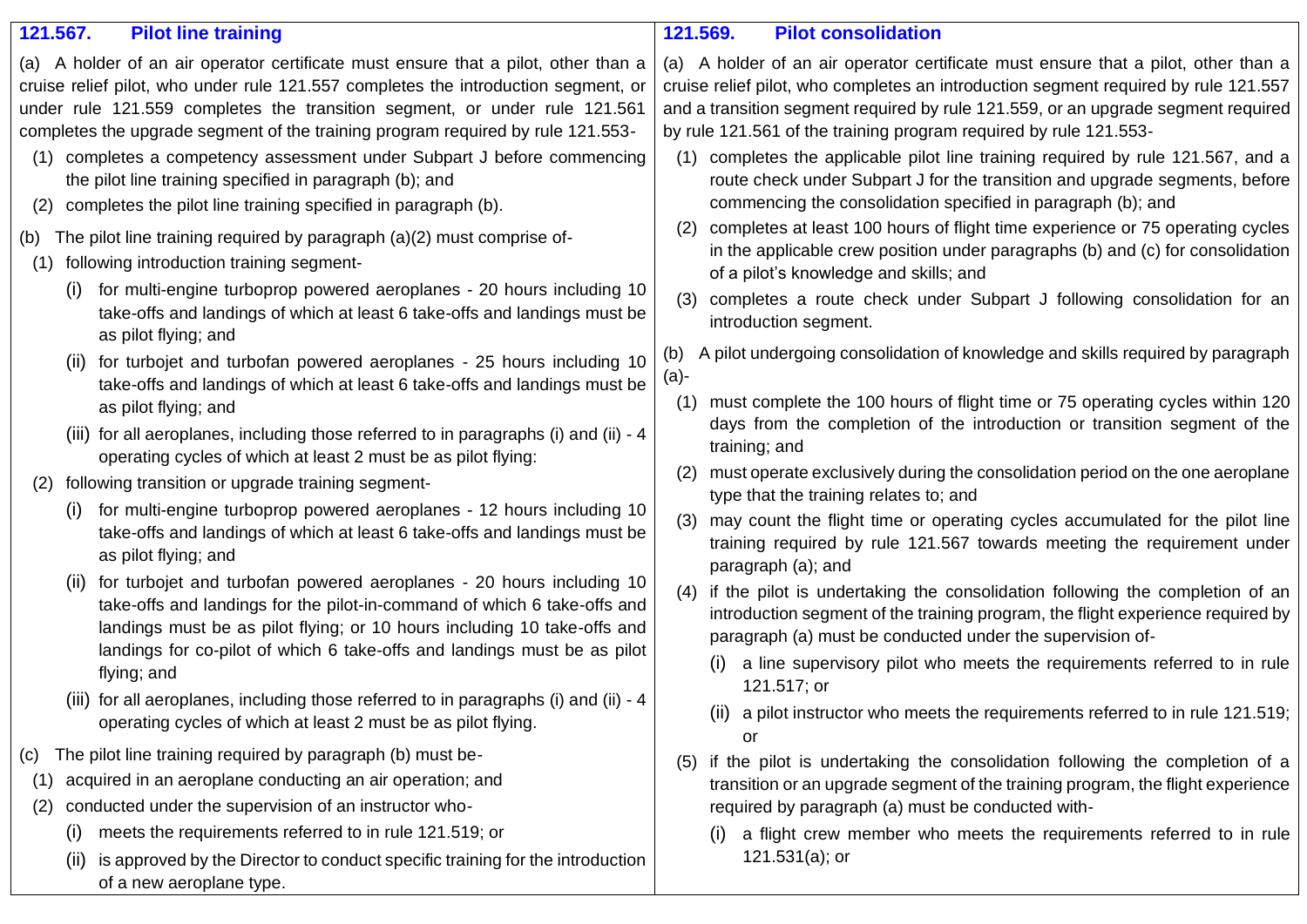| 121.567.<br><b>Pilot line training</b>                                                                                                                                                                                                                                                                                                                                                                                  | 121.569.<br><b>Pilot consolidation</b>                                                                                                                                                                                                                                                                                                                                                                                     |
|-------------------------------------------------------------------------------------------------------------------------------------------------------------------------------------------------------------------------------------------------------------------------------------------------------------------------------------------------------------------------------------------------------------------------|----------------------------------------------------------------------------------------------------------------------------------------------------------------------------------------------------------------------------------------------------------------------------------------------------------------------------------------------------------------------------------------------------------------------------|
| (a) A holder of an air operator certificate must ensure that a pilot, other than a<br>cruise relief pilot, who under rule 121.557 completes the introduction segment, or<br>under rule 121.559 completes the transition segment, or under rule 121.561<br>completes the upgrade segment of the training program required by rule 121.553-<br>completes a competency assessment under Subpart J before commencing<br>(1) | (a) A holder of an air operator certificate must ensure that a pilot, other than a<br>cruise relief pilot, who completes an introduction segment required by rule 121.557<br>and a transition segment required by rule 121.559, or an upgrade segment required<br>by rule 121.561 of the training program required by rule 121.553-<br>completes the applicable pilot line training required by rule 121.567, and a<br>(1) |
| the pilot line training specified in paragraph (b); and<br>completes the pilot line training specified in paragraph (b).<br>(2)                                                                                                                                                                                                                                                                                         | route check under Subpart J for the transition and upgrade segments, before<br>commencing the consolidation specified in paragraph (b); and                                                                                                                                                                                                                                                                                |
| (b) The pilot line training required by paragraph (a)(2) must comprise of-<br>following introduction training segment-<br>(1)                                                                                                                                                                                                                                                                                           | completes at least 100 hours of flight time experience or 75 operating cycles<br>(2)<br>in the applicable crew position under paragraphs (b) and (c) for consolidation<br>of a pilot's knowledge and skills; and                                                                                                                                                                                                           |
| for multi-engine turboprop powered aeroplanes - 20 hours including 10<br>(i)<br>take-offs and landings of which at least 6 take-offs and landings must be<br>as pilot flying; and                                                                                                                                                                                                                                       | completes a route check under Subpart J following consolidation for an<br>(3)<br>introduction segment.                                                                                                                                                                                                                                                                                                                     |
| for turbojet and turbofan powered aeroplanes - 25 hours including 10<br>(II)<br>take-offs and landings of which at least 6 take-offs and landings must be                                                                                                                                                                                                                                                               | A pilot undergoing consolidation of knowledge and skills required by paragraph<br>(b)<br>$(a)-$                                                                                                                                                                                                                                                                                                                            |
| as pilot flying; and<br>(iii) for all aeroplanes, including those referred to in paragraphs (i) and (ii) - 4                                                                                                                                                                                                                                                                                                            | must complete the 100 hours of flight time or 75 operating cycles within 120<br>(1)<br>days from the completion of the introduction or transition segment of the<br>training; and                                                                                                                                                                                                                                          |
| operating cycles of which at least 2 must be as pilot flying:<br>following transition or upgrade training segment-<br>(2)                                                                                                                                                                                                                                                                                               | must operate exclusively during the consolidation period on the one aeroplane<br>(2)<br>type that the training relates to; and                                                                                                                                                                                                                                                                                             |
| for multi-engine turboprop powered aeroplanes - 12 hours including 10<br>$\left(1\right)$<br>take-offs and landings of which at least 6 take-offs and landings must be<br>as pilot flying; and                                                                                                                                                                                                                          | may count the flight time or operating cycles accumulated for the pilot line<br>(3)<br>training required by rule 121.567 towards meeting the requirement under<br>paragraph (a); and                                                                                                                                                                                                                                       |
| for turbojet and turbofan powered aeroplanes - 20 hours including 10<br>take-offs and landings for the pilot-in-command of which 6 take-offs and<br>landings must be as pilot flying; or 10 hours including 10 take-offs and<br>landings for co-pilot of which 6 take-offs and landings must be as pilot                                                                                                                | (4) if the pilot is undertaking the consolidation following the completion of an<br>introduction segment of the training program, the flight experience required by<br>paragraph (a) must be conducted under the supervision of-                                                                                                                                                                                           |
| flying; and                                                                                                                                                                                                                                                                                                                                                                                                             | a line supervisory pilot who meets the requirements referred to in rule<br>(1)<br>121.517; or                                                                                                                                                                                                                                                                                                                              |
| (iii) for all aeroplanes, including those referred to in paragraphs (i) and (ii) - 4<br>operating cycles of which at least 2 must be as pilot flying.                                                                                                                                                                                                                                                                   | (ii) a pilot instructor who meets the requirements referred to in rule 121.519;<br>or                                                                                                                                                                                                                                                                                                                                      |
| The pilot line training required by paragraph (b) must be-<br>(c)                                                                                                                                                                                                                                                                                                                                                       | if the pilot is undertaking the consolidation following the completion of a<br>(5)                                                                                                                                                                                                                                                                                                                                         |
| acquired in an aeroplane conducting an air operation; and<br>(1)                                                                                                                                                                                                                                                                                                                                                        | transition or an upgrade segment of the training program, the flight experience                                                                                                                                                                                                                                                                                                                                            |
| conducted under the supervision of an instructor who-<br>(2)                                                                                                                                                                                                                                                                                                                                                            | required by paragraph (a) must be conducted with-                                                                                                                                                                                                                                                                                                                                                                          |
| meets the requirements referred to in rule 121.519; or<br>$\left( 1\right)$                                                                                                                                                                                                                                                                                                                                             | a flight crew member who meets the requirements referred to in rule<br>(1)                                                                                                                                                                                                                                                                                                                                                 |
| is approved by the Director to conduct specific training for the introduction<br>(ii)<br>of a new aeroplane type.                                                                                                                                                                                                                                                                                                       | $121.531(a)$ ; or                                                                                                                                                                                                                                                                                                                                                                                                          |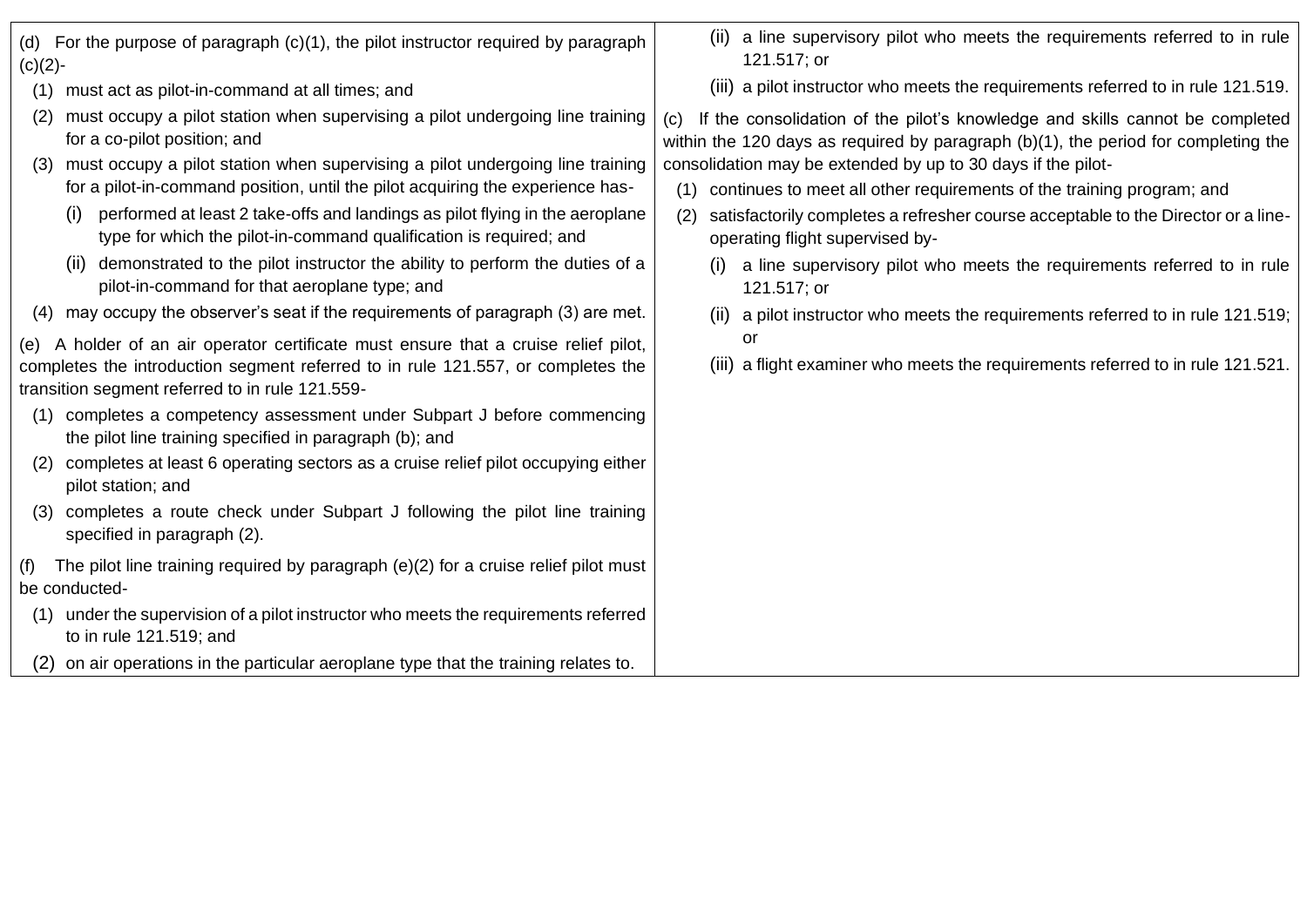| $(c)(2)$ -                                      | (d) For the purpose of paragraph $(c)(1)$ , the pilot instructor required by paragraph                                                                                  | (ii) a line supervisory pilot who meets the requirements referred to in rule<br>121.517; or                                                                               |
|-------------------------------------------------|-------------------------------------------------------------------------------------------------------------------------------------------------------------------------|---------------------------------------------------------------------------------------------------------------------------------------------------------------------------|
| (1)                                             | must act as pilot-in-command at all times; and                                                                                                                          | (iii) a pilot instructor who meets the requirements referred to in rule 121.519.                                                                                          |
| (2)                                             | must occupy a pilot station when supervising a pilot undergoing line training<br>for a co-pilot position; and                                                           | If the consolidation of the pilot's knowledge and skills cannot be completed<br>(C)<br>within the 120 days as required by paragraph (b)(1), the period for completing the |
| (3)                                             | must occupy a pilot station when supervising a pilot undergoing line training                                                                                           | consolidation may be extended by up to 30 days if the pilot-                                                                                                              |
|                                                 | for a pilot-in-command position, until the pilot acquiring the experience has-                                                                                          | continues to meet all other requirements of the training program; and<br>(1)                                                                                              |
| $\left(1\right)$                                | performed at least 2 take-offs and landings as pilot flying in the aeroplane<br>type for which the pilot-in-command qualification is required; and                      | satisfactorily completes a refresher course acceptable to the Director or a line-<br>(2)<br>operating flight supervised by-                                               |
| (ii)                                            | demonstrated to the pilot instructor the ability to perform the duties of a<br>pilot-in-command for that aeroplane type; and                                            | a line supervisory pilot who meets the requirements referred to in rule<br>(I)<br>121.517; or                                                                             |
| (4)                                             | may occupy the observer's seat if the requirements of paragraph (3) are met.                                                                                            | (ii) a pilot instructor who meets the requirements referred to in rule 121.519;                                                                                           |
|                                                 | (e) A holder of an air operator certificate must ensure that a cruise relief pilot,<br>completes the introduction segment referred to in rule 121.557, or completes the | or<br>(iii) a flight examiner who meets the requirements referred to in rule 121.521.                                                                                     |
| transition segment referred to in rule 121.559- |                                                                                                                                                                         |                                                                                                                                                                           |
| (1)                                             | completes a competency assessment under Subpart J before commencing<br>the pilot line training specified in paragraph (b); and                                          |                                                                                                                                                                           |
| (2)                                             | completes at least 6 operating sectors as a cruise relief pilot occupying either<br>pilot station; and                                                                  |                                                                                                                                                                           |
| (3)                                             | completes a route check under Subpart J following the pilot line training<br>specified in paragraph (2).                                                                |                                                                                                                                                                           |
| (f)<br>be conducted-                            | The pilot line training required by paragraph $(e)(2)$ for a cruise relief pilot must                                                                                   |                                                                                                                                                                           |
| (1)                                             | under the supervision of a pilot instructor who meets the requirements referred                                                                                         |                                                                                                                                                                           |
|                                                 | to in rule 121.519; and                                                                                                                                                 |                                                                                                                                                                           |
| (2)                                             | on air operations in the particular aeroplane type that the training relates to.                                                                                        |                                                                                                                                                                           |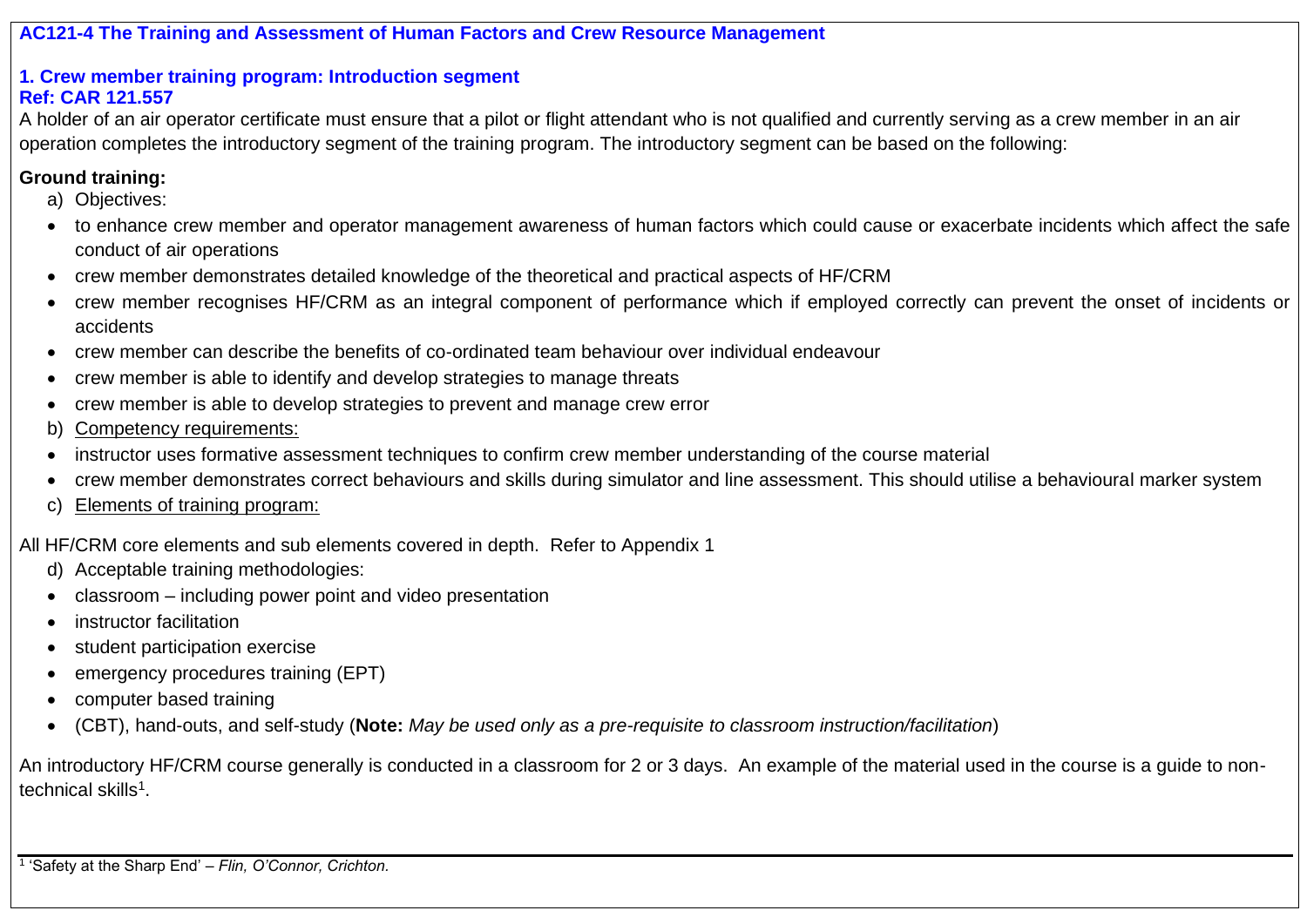**AC121-4 The Training and Assessment of Human Factors and Crew Resource Management** 

#### **1. Crew member training program: Introduction segment Ref: CAR 121.557**

A holder of an air operator certificate must ensure that a pilot or flight attendant who is not qualified and currently serving as a crew member in an air operation completes the introductory segment of the training program. The introductory segment can be based on the following:

# **Ground training:**

- a) Objectives:
- to enhance crew member and operator management awareness of human factors which could cause or exacerbate incidents which affect the safe conduct of air operations
- crew member demonstrates detailed knowledge of the theoretical and practical aspects of HF/CRM
- crew member recognises HF/CRM as an integral component of performance which if employed correctly can prevent the onset of incidents or accidents
- crew member can describe the benefits of co-ordinated team behaviour over individual endeavour
- crew member is able to identify and develop strategies to manage threats
- crew member is able to develop strategies to prevent and manage crew error
- b) Competency requirements:
- instructor uses formative assessment techniques to confirm crew member understanding of the course material
- crew member demonstrates correct behaviours and skills during simulator and line assessment. This should utilise a behavioural marker system
- c) Elements of training program:

All HF/CRM core elements and sub elements covered in depth. Refer to Appendix 1

- d) Acceptable training methodologies:
- classroom including power point and video presentation
- instructor facilitation
- student participation exercise
- emergency procedures training (EPT)
- computer based training
- (CBT), hand-outs, and self-study (**Note:** *May be used only as a pre-requisite to classroom instruction/facilitation*)

An introductory HF/CRM course generally is conducted in a classroom for 2 or 3 days. An example of the material used in the course is a guide to nontechnical skills<sup>1</sup>.

1 'Safety at the Sharp End' – *Flin, O'Connor, Crichton.*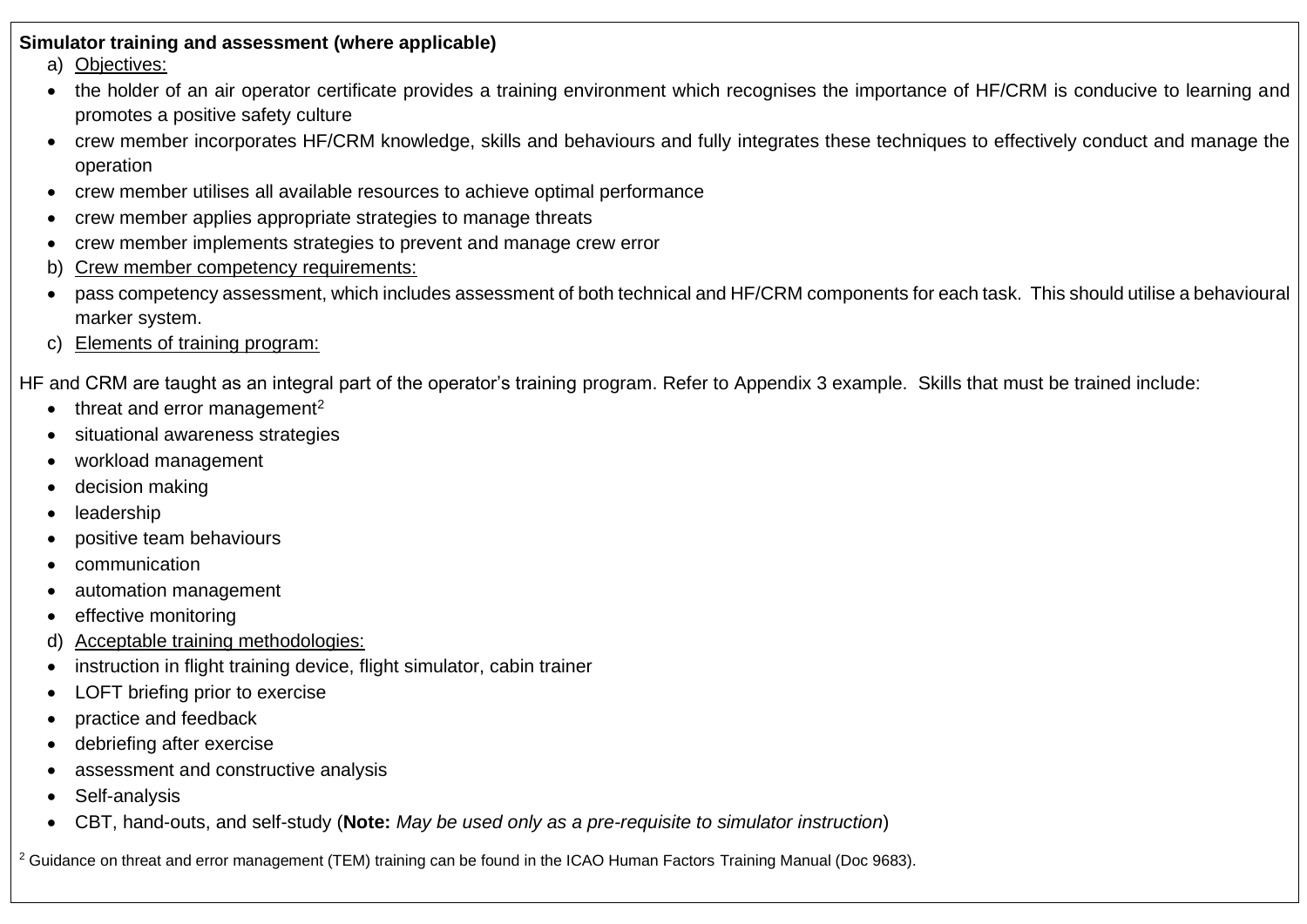#### **Simulator training and assessment (where applicable)**

- a) Objectives:
- the holder of an air operator certificate provides a training environment which recognises the importance of HF/CRM is conducive to learning and promotes a positive safety culture
- crew member incorporates HF/CRM knowledge, skills and behaviours and fully integrates these techniques to effectively conduct and manage the operation
- crew member utilises all available resources to achieve optimal performance
- crew member applies appropriate strategies to manage threats
- crew member implements strategies to prevent and manage crew error
- b) Crew member competency requirements:
- pass competency assessment, which includes assessment of both technical and HF/CRM components for each task. This should utilise a behavioural marker system.
- c) Elements of training program:

HF and CRM are taught as an integral part of the operator's training program. Refer to Appendix 3 example. Skills that must be trained include:

- threat and error management<sup>2</sup>
- situational awareness strategies
- workload management
- decision making
- **leadership**
- positive team behaviours
- communication
- automation management
- effective monitoring
- d) Acceptable training methodologies:
- instruction in flight training device, flight simulator, cabin trainer
- LOFT briefing prior to exercise
- practice and feedback
- debriefing after exercise
- assessment and constructive analysis
- Self-analysis
- CBT, hand-outs, and self-study (**Note:** *May be used only as a pre-requisite to simulator instruction*)

<sup>2</sup> Guidance on threat and error management (TEM) training can be found in the ICAO Human Factors Training Manual (Doc 9683).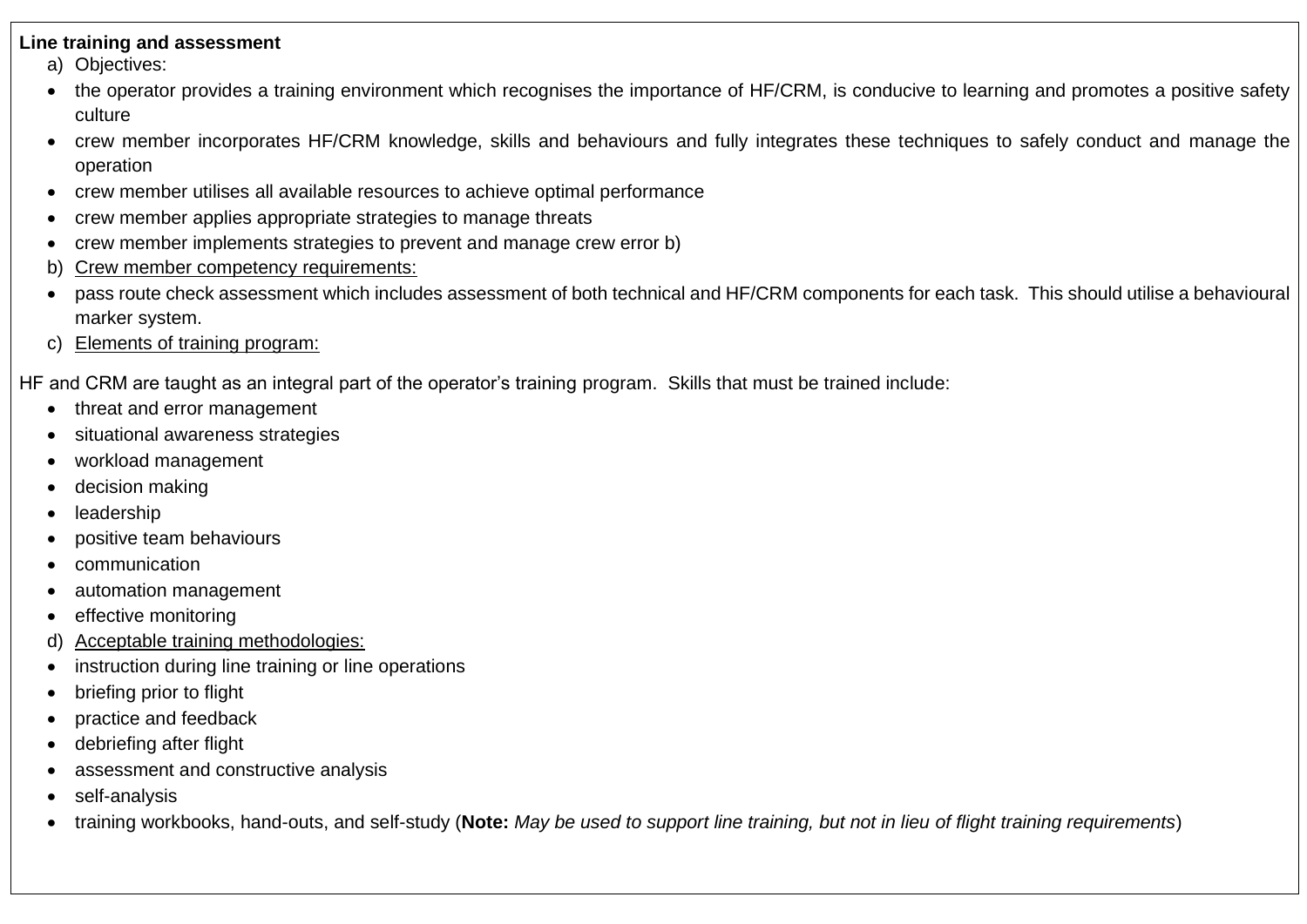#### **Line training and assessment**

a) Objectives:

- the operator provides a training environment which recognises the importance of HF/CRM, is conducive to learning and promotes a positive safety culture
- crew member incorporates HF/CRM knowledge, skills and behaviours and fully integrates these techniques to safely conduct and manage the operation
- crew member utilises all available resources to achieve optimal performance
- crew member applies appropriate strategies to manage threats
- crew member implements strategies to prevent and manage crew error b)
- b) Crew member competency requirements:
- pass route check assessment which includes assessment of both technical and HF/CRM components for each task. This should utilise a behavioural marker system.
- c) Elements of training program:

HF and CRM are taught as an integral part of the operator's training program. Skills that must be trained include:

- threat and error management
- situational awareness strategies
- workload management
- decision making
- **leadership**
- positive team behaviours
- communication
- automation management
- effective monitoring
- d) Acceptable training methodologies:
- instruction during line training or line operations
- briefing prior to flight
- practice and feedback
- debriefing after flight
- assessment and constructive analysis
- self-analysis
- training workbooks, hand-outs, and self-study (**Note:** *May be used to support line training, but not in lieu of flight training requirements*)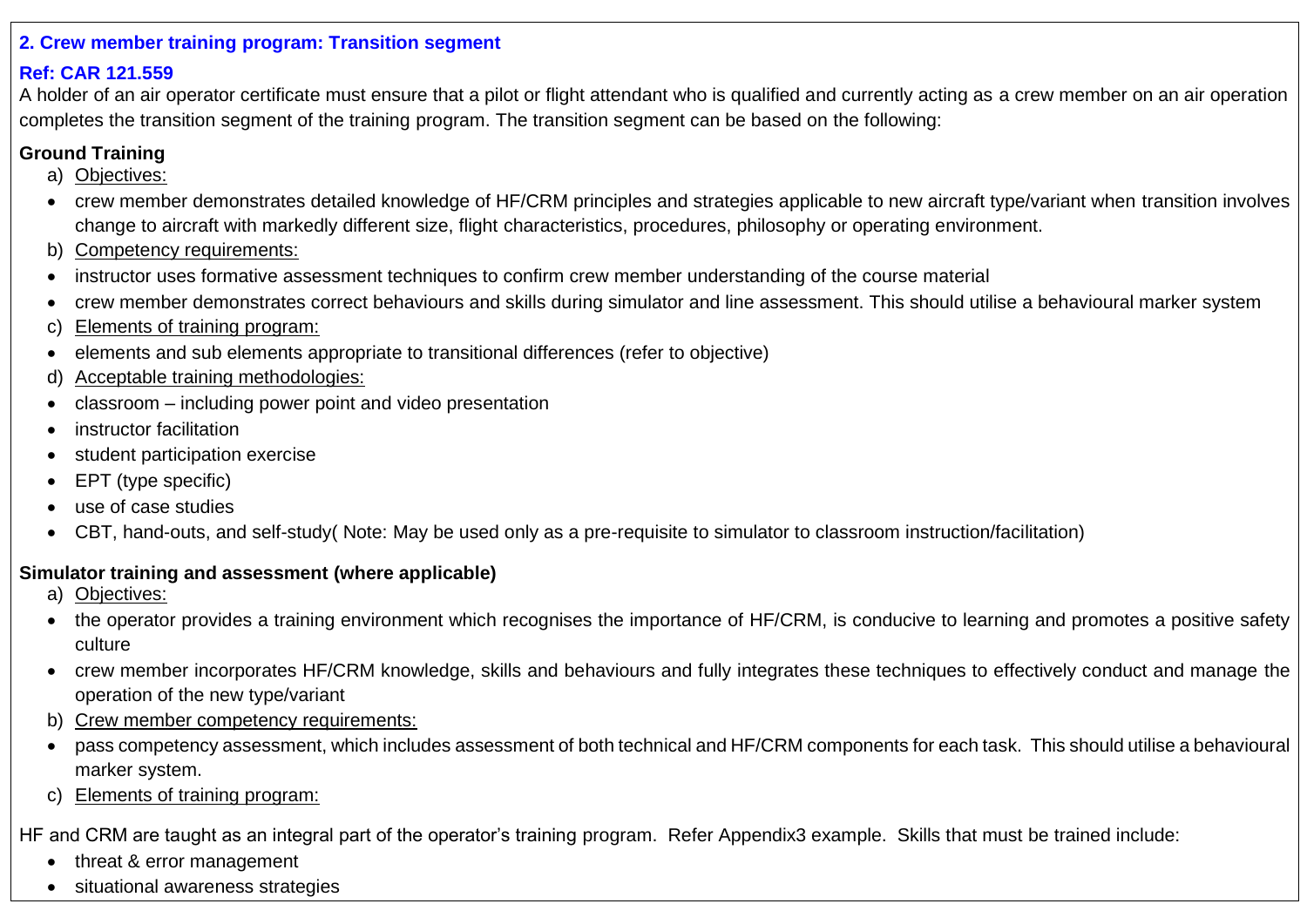### **2. Crew member training program: Transition segment**

# **Ref: CAR 121.559**

A holder of an air operator certificate must ensure that a pilot or flight attendant who is qualified and currently acting as a crew member on an air operation completes the transition segment of the training program. The transition segment can be based on the following:

# **Ground Training**

- a) Objectives:
- crew member demonstrates detailed knowledge of HF/CRM principles and strategies applicable to new aircraft type/variant when transition involves change to aircraft with markedly different size, flight characteristics, procedures, philosophy or operating environment.
- b) Competency requirements:
- instructor uses formative assessment techniques to confirm crew member understanding of the course material
- crew member demonstrates correct behaviours and skills during simulator and line assessment. This should utilise a behavioural marker system
- c) Elements of training program:
- elements and sub elements appropriate to transitional differences (refer to objective)
- d) Acceptable training methodologies:
- classroom including power point and video presentation
- instructor facilitation
- student participation exercise
- EPT (type specific)
- use of case studies
- CBT, hand-outs, and self-study( Note: May be used only as a pre-requisite to simulator to classroom instruction/facilitation)

# **Simulator training and assessment (where applicable)**

- a) Objectives:
- the operator provides a training environment which recognises the importance of HF/CRM, is conducive to learning and promotes a positive safety culture
- crew member incorporates HF/CRM knowledge, skills and behaviours and fully integrates these techniques to effectively conduct and manage the operation of the new type/variant
- b) Crew member competency requirements:
- pass competency assessment, which includes assessment of both technical and HF/CRM components for each task. This should utilise a behavioural marker system.
- c) Elements of training program:

HF and CRM are taught as an integral part of the operator's training program. Refer Appendix3 example. Skills that must be trained include:

- threat & error management
- situational awareness strategies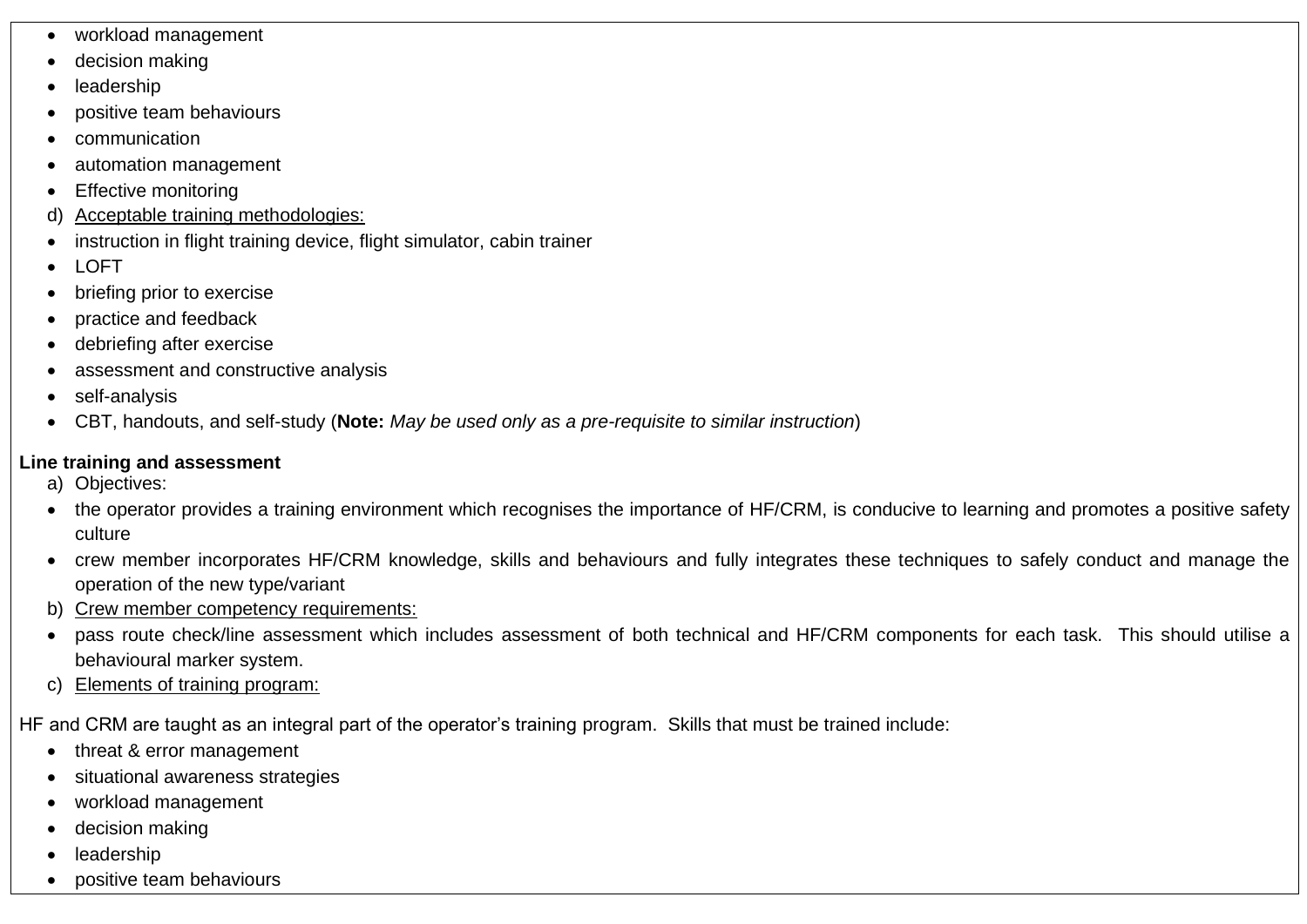- workload management
- decision making
- **leadership**
- positive team behaviours
- communication
- automation management
- **Effective monitoring**
- d) Acceptable training methodologies:
- instruction in flight training device, flight simulator, cabin trainer
- LOFT
- briefing prior to exercise
- practice and feedback
- debriefing after exercise
- assessment and constructive analysis
- self-analysis
- CBT, handouts, and self-study (**Note:** *May be used only as a pre-requisite to similar instruction*)

# **Line training and assessment**

- a) Objectives:
- the operator provides a training environment which recognises the importance of HF/CRM, is conducive to learning and promotes a positive safety culture
- crew member incorporates HF/CRM knowledge, skills and behaviours and fully integrates these techniques to safely conduct and manage the operation of the new type/variant
- b) Crew member competency requirements:
- pass route check/line assessment which includes assessment of both technical and HF/CRM components for each task. This should utilise a behavioural marker system.
- c) Elements of training program:

HF and CRM are taught as an integral part of the operator's training program. Skills that must be trained include:

- threat & error management
- situational awareness strategies
- workload management
- decision making
- **leadership**
- positive team behaviours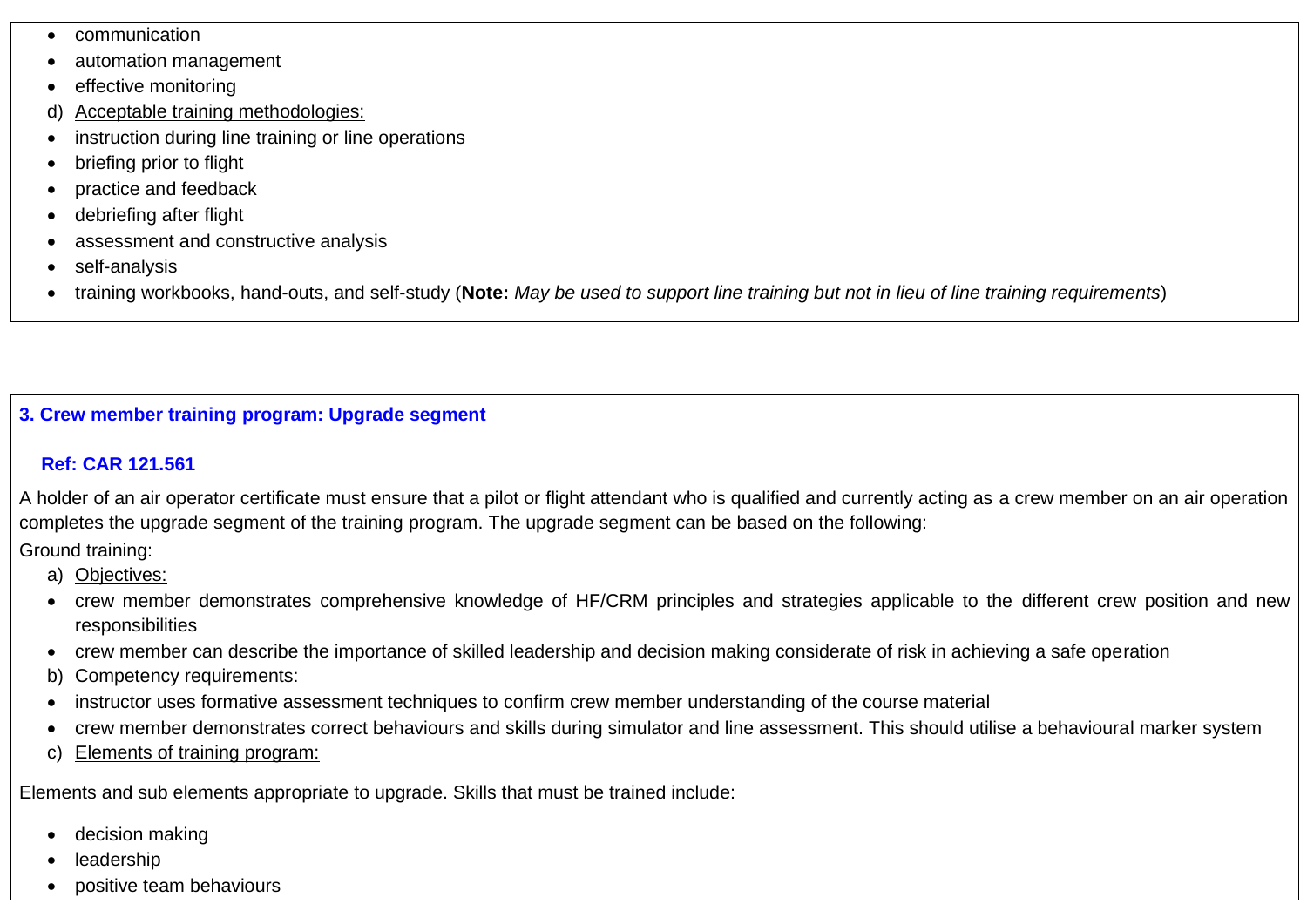- communication
- automation management
- effective monitoring
- d) Acceptable training methodologies:
- instruction during line training or line operations
- briefing prior to flight
- practice and feedback
- debriefing after flight
- assessment and constructive analysis
- self-analysis
- training workbooks, hand-outs, and self-study (**Note:** *May be used to support line training but not in lieu of line training requirements*)

# **3. Crew member training program: Upgrade segment**

# **Ref: CAR 121.561**

A holder of an air operator certificate must ensure that a pilot or flight attendant who is qualified and currently acting as a crew member on an air operation completes the upgrade segment of the training program. The upgrade segment can be based on the following:

Ground training:

- a) Objectives:
- crew member demonstrates comprehensive knowledge of HF/CRM principles and strategies applicable to the different crew position and new responsibilities
- crew member can describe the importance of skilled leadership and decision making considerate of risk in achieving a safe operation
- b) Competency requirements:
- instructor uses formative assessment techniques to confirm crew member understanding of the course material
- crew member demonstrates correct behaviours and skills during simulator and line assessment. This should utilise a behavioural marker system
- c) Elements of training program:

Elements and sub elements appropriate to upgrade. Skills that must be trained include:

- decision making
- **leadership**
- positive team behaviours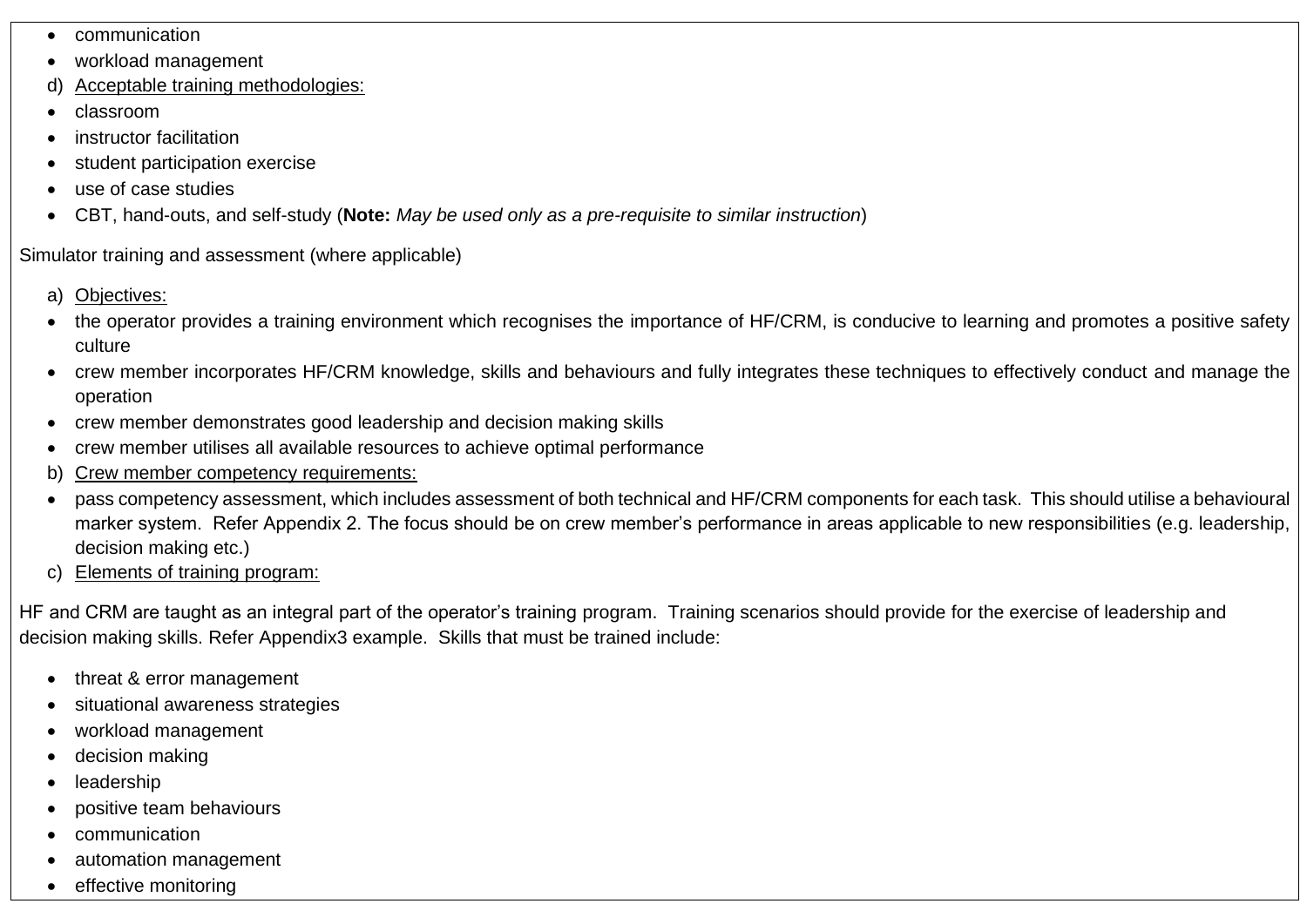- communication
- workload management
- d) Acceptable training methodologies:
- classroom
- instructor facilitation
- student participation exercise
- use of case studies
- CBT, hand-outs, and self-study (**Note:** *May be used only as a pre-requisite to similar instruction*)

Simulator training and assessment (where applicable)

- a) Objectives:
- the operator provides a training environment which recognises the importance of HF/CRM, is conducive to learning and promotes a positive safety culture
- crew member incorporates HF/CRM knowledge, skills and behaviours and fully integrates these techniques to effectively conduct and manage the operation
- crew member demonstrates good leadership and decision making skills
- crew member utilises all available resources to achieve optimal performance
- b) Crew member competency requirements:
- pass competency assessment, which includes assessment of both technical and HF/CRM components for each task. This should utilise a behavioural marker system. Refer Appendix 2. The focus should be on crew member's performance in areas applicable to new responsibilities (e.g. leadership, decision making etc.)
- c) Elements of training program:

HF and CRM are taught as an integral part of the operator's training program. Training scenarios should provide for the exercise of leadership and decision making skills. Refer Appendix3 example. Skills that must be trained include:

- threat & error management
- situational awareness strategies
- workload management
- decision making
- leadership
- positive team behaviours
- communication
- automation management
- effective monitoring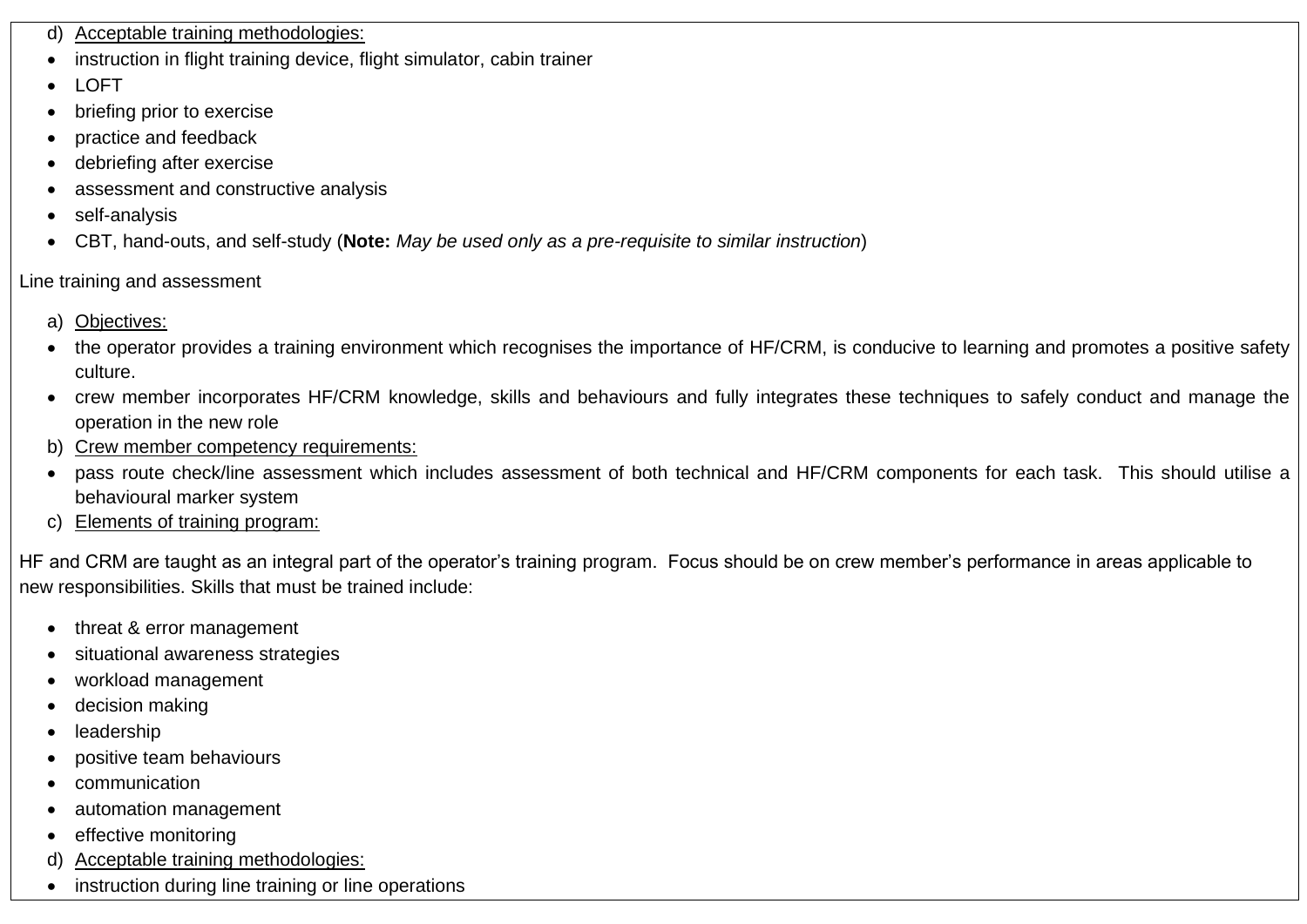- d) Acceptable training methodologies:
- instruction in flight training device, flight simulator, cabin trainer
- LOFT
- briefing prior to exercise
- practice and feedback
- debriefing after exercise
- assessment and constructive analysis
- self-analysis
- CBT, hand-outs, and self-study (**Note:** *May be used only as a pre-requisite to similar instruction*)

### Line training and assessment

- a) Objectives:
- the operator provides a training environment which recognises the importance of HF/CRM, is conducive to learning and promotes a positive safety culture.
- crew member incorporates HF/CRM knowledge, skills and behaviours and fully integrates these techniques to safely conduct and manage the operation in the new role
- b) Crew member competency requirements:
- pass route check/line assessment which includes assessment of both technical and HF/CRM components for each task. This should utilise a behavioural marker system
- c) Elements of training program:

HF and CRM are taught as an integral part of the operator's training program. Focus should be on crew member's performance in areas applicable to new responsibilities. Skills that must be trained include:

- threat & error management
- situational awareness strategies
- workload management
- decision making
- **leadership**
- positive team behaviours
- communication
- automation management
- effective monitoring
- d) Acceptable training methodologies:
- instruction during line training or line operations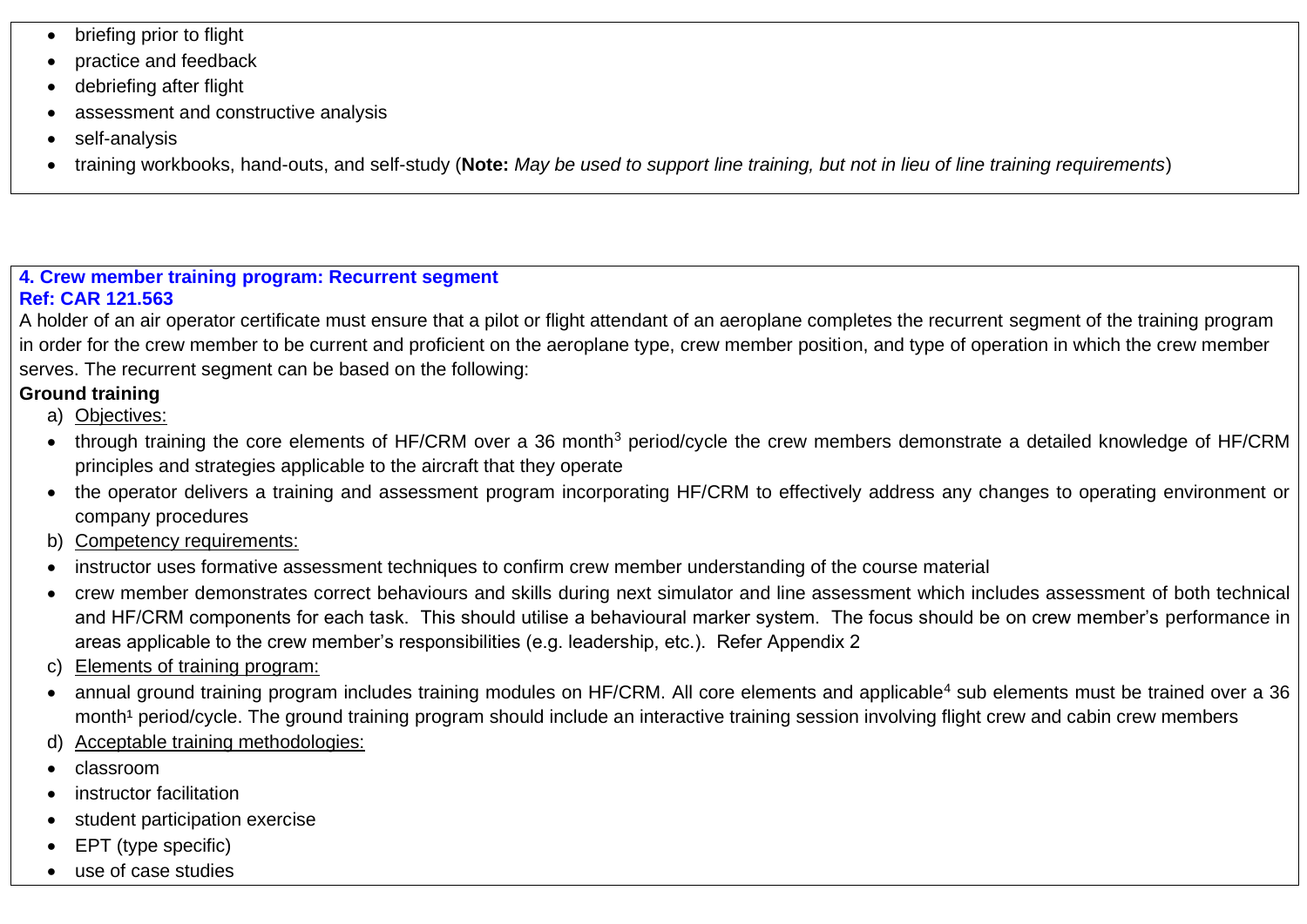- briefing prior to flight
- practice and feedback
- debriefing after flight
- assessment and constructive analysis
- self-analysis
- training workbooks, hand-outs, and self-study (**Note:** *May be used to support line training, but not in lieu of line training requirements*)

#### **4. Crew member training program: Recurrent segment Ref: CAR 121.563**

A holder of an air operator certificate must ensure that a pilot or flight attendant of an aeroplane completes the recurrent segment of the training program in order for the crew member to be current and proficient on the aeroplane type, crew member position, and type of operation in which the crew member serves. The recurrent segment can be based on the following:

# **Ground training**

- a) Objectives:
- through training the core elements of HF/CRM over a 36 month<sup>3</sup> period/cycle the crew members demonstrate a detailed knowledge of HF/CRM principles and strategies applicable to the aircraft that they operate
- the operator delivers a training and assessment program incorporating HF/CRM to effectively address any changes to operating environment or company procedures
- b) Competency requirements:
- instructor uses formative assessment techniques to confirm crew member understanding of the course material
- crew member demonstrates correct behaviours and skills during next simulator and line assessment which includes assessment of both technical and HF/CRM components for each task. This should utilise a behavioural marker system. The focus should be on crew member's performance in areas applicable to the crew member's responsibilities (e.g. leadership, etc.). Refer Appendix 2
- c) Elements of training program:
- annual ground training program includes training modules on HF/CRM. All core elements and applicable<sup>4</sup> sub elements must be trained over a 36 month<sup>1</sup> period/cycle. The ground training program should include an interactive training session involving flight crew and cabin crew members
- d) Acceptable training methodologies:
- classroom
- instructor facilitation
- student participation exercise
- EPT (type specific)
- use of case studies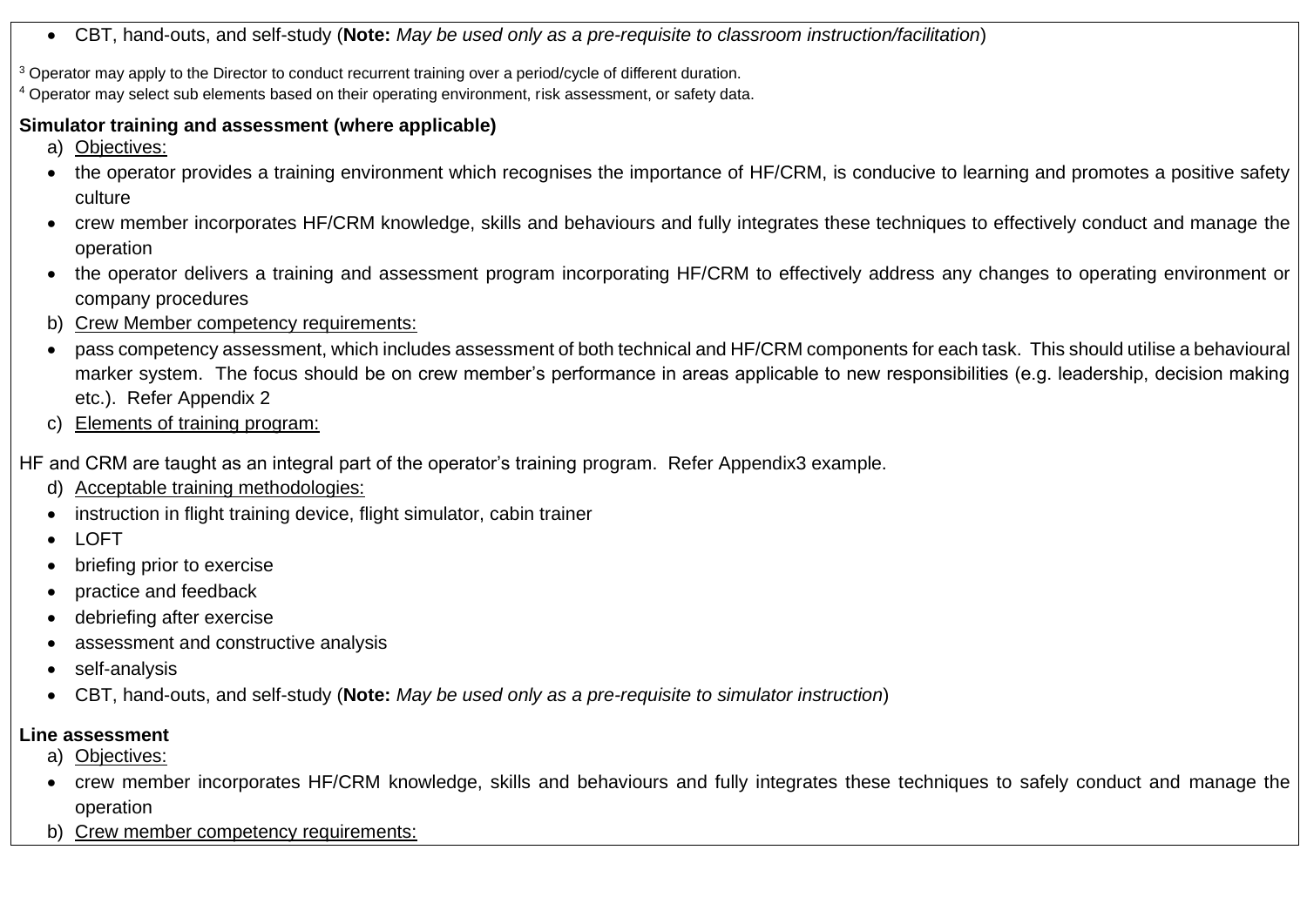- CBT, hand-outs, and self-study (**Note:** *May be used only as a pre-requisite to classroom instruction/facilitation*)
- <sup>3</sup> Operator may apply to the Director to conduct recurrent training over a period/cycle of different duration.

<sup>4</sup> Operator may select sub elements based on their operating environment, risk assessment, or safety data.

# **Simulator training and assessment (where applicable)**

- a) Objectives:
- the operator provides a training environment which recognises the importance of HF/CRM, is conducive to learning and promotes a positive safety culture
- crew member incorporates HF/CRM knowledge, skills and behaviours and fully integrates these techniques to effectively conduct and manage the operation
- the operator delivers a training and assessment program incorporating HF/CRM to effectively address any changes to operating environment or company procedures
- b) Crew Member competency requirements:
- pass competency assessment, which includes assessment of both technical and HF/CRM components for each task. This should utilise a behavioural marker system. The focus should be on crew member's performance in areas applicable to new responsibilities (e.g. leadership, decision making etc.). Refer Appendix 2
- c) Elements of training program:

HF and CRM are taught as an integral part of the operator's training program. Refer Appendix3 example.

- d) Acceptable training methodologies:
- instruction in flight training device, flight simulator, cabin trainer
- LOFT
- briefing prior to exercise
- practice and feedback
- debriefing after exercise
- assessment and constructive analysis
- self-analysis
- CBT, hand-outs, and self-study (**Note:** *May be used only as a pre-requisite to simulator instruction*)

# **Line assessment**

- a) Objectives:
- crew member incorporates HF/CRM knowledge, skills and behaviours and fully integrates these techniques to safely conduct and manage the operation
- b) Crew member competency requirements: